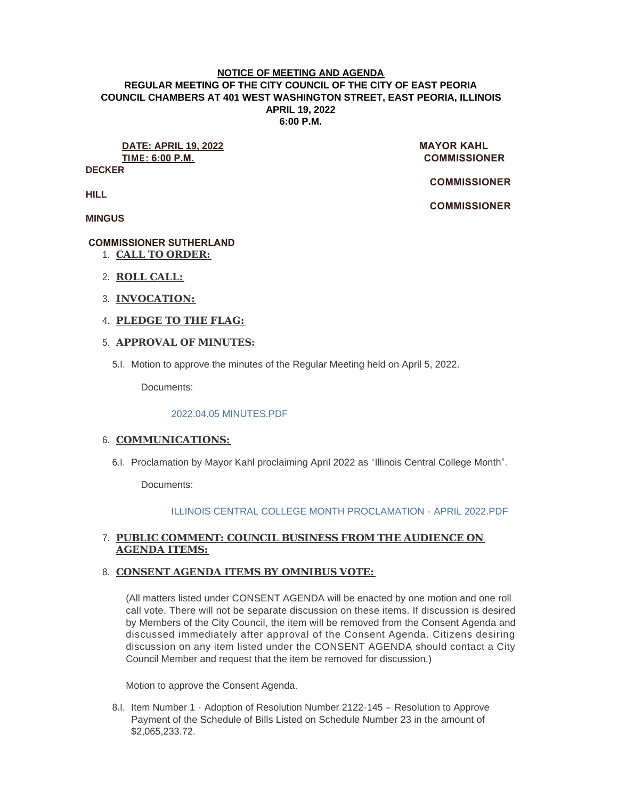### **NOTICE OF MEETING AND AGENDA REGULAR MEETING OF THE CITY COUNCIL OF THE CITY OF EAST PEORIA COUNCIL CHAMBERS AT 401 WEST WASHINGTON STREET, EAST PEORIA, ILLINOIS APRIL 19, 2022 6:00 P.M.**

**DATE: APRIL 19, 2022** MAYOR KAHL **TIME: 6:00 P.M. COMMISSIONER** 

**DECKER**

 **COMMISSIONER** 

 **COMMISSIONER** 

**HILL**

**MINGUS**

# **COMMISSIONER SUTHERLAND**

- **CALL TO ORDER:** 1.
- **ROLL CALL:** 2.
- **INVOCATION:** 3.
- **PLEDGE TO THE FLAG:** 4.

## **APPROVAL OF MINUTES:** 5.

Motion to approve the minutes of the Regular Meeting held on April 5, 2022. 5.I.

Documents:

## [2022.04.05 MINUTES.PDF](https://www.cityofeastpeoria.com/AgendaCenter/ViewFile/Item/4294?fileID=29673)

## 6. COMMUNICATIONS:

6.I. Proclamation by Mayor Kahl proclaiming April 2022 as "Illinois Central College Month".

Documents:

# [ILLINOIS CENTRAL COLLEGE MONTH PROCLAMATION -](https://www.cityofeastpeoria.com/AgendaCenter/ViewFile/Item/4295?fileID=29644) APRIL 2022.PDF

# **PUBLIC COMMENT: COUNCIL BUSINESS FROM THE AUDIENCE ON**  7. **AGENDA ITEMS:**

## **CONSENT AGENDA ITEMS BY OMNIBUS VOTE:**  8.

(All matters listed under CONSENT AGENDA will be enacted by one motion and one roll call vote. There will not be separate discussion on these items. If discussion is desired by Members of the City Council, the item will be removed from the Consent Agenda and discussed immediately after approval of the Consent Agenda. Citizens desiring discussion on any item listed under the CONSENT AGENDA should contact a City Council Member and request that the item be removed for discussion.)

Motion to approve the Consent Agenda.

8.I. Item Number 1 - Adoption of Resolution Number 2122-145 - Resolution to Approve Payment of the Schedule of Bills Listed on Schedule Number 23 in the amount of \$2,065,233.72.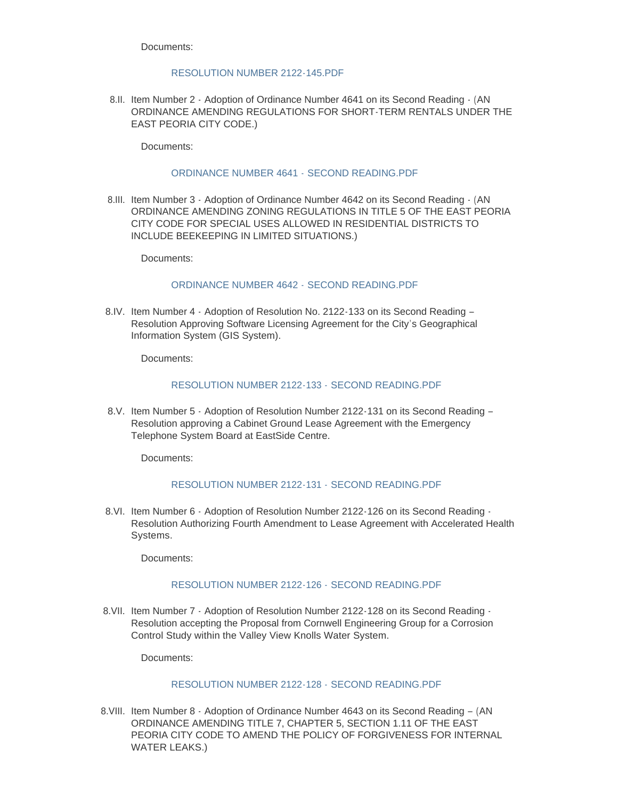#### [RESOLUTION NUMBER 2122-145.PDF](https://www.cityofeastpeoria.com/AgendaCenter/ViewFile/Item/4296?fileID=29645)

8.II. Item Number 2 - Adoption of Ordinance Number 4641 on its Second Reading - (AN ORDINANCE AMENDING REGULATIONS FOR SHORT-TERM RENTALS UNDER THE EAST PEORIA CITY CODE.)

Documents:

### [ORDINANCE NUMBER 4641 -](https://www.cityofeastpeoria.com/AgendaCenter/ViewFile/Item/4297?fileID=29646) SECOND READING.PDF

8.III. Item Number 3 - Adoption of Ordinance Number 4642 on its Second Reading - (AN ORDINANCE AMENDING ZONING REGULATIONS IN TITLE 5 OF THE EAST PEORIA CITY CODE FOR SPECIAL USES ALLOWED IN RESIDENTIAL DISTRICTS TO INCLUDE BEEKEEPING IN LIMITED SITUATIONS.)

Documents:

#### [ORDINANCE NUMBER 4642 -](https://www.cityofeastpeoria.com/AgendaCenter/ViewFile/Item/4298?fileID=29647) SECOND READING.PDF

8.IV. Item Number 4 - Adoption of Resolution No. 2122-133 on its Second Reading -Resolution Approving Software Licensing Agreement for the City's Geographical Information System (GIS System).

Documents:

#### [RESOLUTION NUMBER 2122-133 -](https://www.cityofeastpeoria.com/AgendaCenter/ViewFile/Item/4299?fileID=29648) SECOND READING.PDF

8.V. Item Number 5 - Adoption of Resolution Number 2122-131 on its Second Reading -Resolution approving a Cabinet Ground Lease Agreement with the Emergency Telephone System Board at EastSide Centre.

Documents:

## [RESOLUTION NUMBER 2122-131 -](https://www.cityofeastpeoria.com/AgendaCenter/ViewFile/Item/4300?fileID=29649) SECOND READING.PDF

8.VI. Item Number 6 - Adoption of Resolution Number 2122-126 on its Second Reading -Resolution Authorizing Fourth Amendment to Lease Agreement with Accelerated Health Systems.

Documents:

## [RESOLUTION NUMBER 2122-126 -](https://www.cityofeastpeoria.com/AgendaCenter/ViewFile/Item/4301?fileID=29650) SECOND READING.PDF

8.VII. Item Number 7 - Adoption of Resolution Number 2122-128 on its Second Reading -Resolution accepting the Proposal from Cornwell Engineering Group for a Corrosion Control Study within the Valley View Knolls Water System.

Documents:

## [RESOLUTION NUMBER 2122-128 -](https://www.cityofeastpeoria.com/AgendaCenter/ViewFile/Item/4302?fileID=29651) SECOND READING.PDF

8. VIII. Item Number 8 - Adoption of Ordinance Number 4643 on its Second Reading - (AN ORDINANCE AMENDING TITLE 7, CHAPTER 5, SECTION 1.11 OF THE EAST PEORIA CITY CODE TO AMEND THE POLICY OF FORGIVENESS FOR INTERNAL WATER LEAKS.)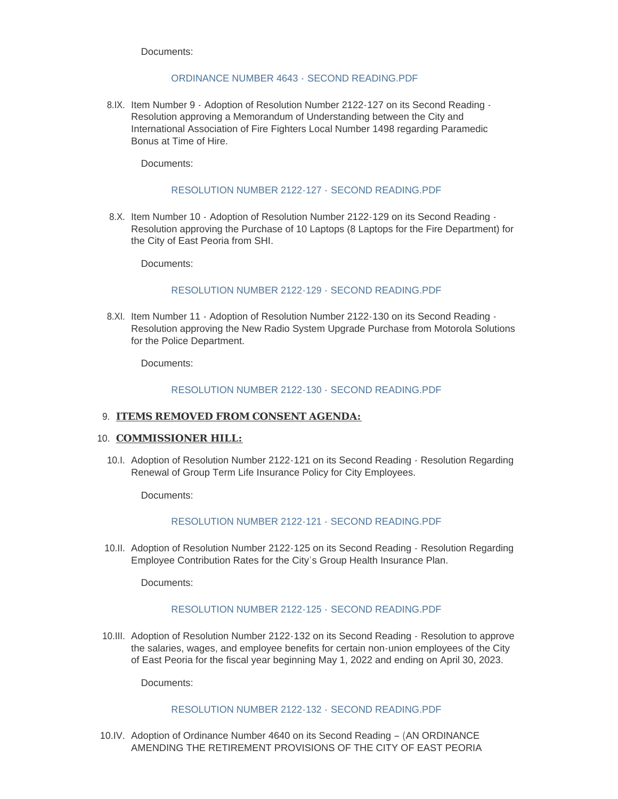## [ORDINANCE NUMBER 4643 -](https://www.cityofeastpeoria.com/AgendaCenter/ViewFile/Item/4303?fileID=29652) SECOND READING.PDF

8.IX. Item Number 9 - Adoption of Resolution Number 2122-127 on its Second Reading -Resolution approving a Memorandum of Understanding between the City and International Association of Fire Fighters Local Number 1498 regarding Paramedic Bonus at Time of Hire.

Documents:

## [RESOLUTION NUMBER 2122-127 -](https://www.cityofeastpeoria.com/AgendaCenter/ViewFile/Item/4304?fileID=29653) SECOND READING.PDF

8.X. Item Number 10 - Adoption of Resolution Number 2122-129 on its Second Reading -Resolution approving the Purchase of 10 Laptops (8 Laptops for the Fire Department) for the City of East Peoria from SHI.

Documents:

## [RESOLUTION NUMBER 2122-129 - SECOND READING.PDF](https://www.cityofeastpeoria.com/AgendaCenter/ViewFile/Item/4305?fileID=29654)

8.XI. Item Number 11 - Adoption of Resolution Number 2122-130 on its Second Reading -Resolution approving the New Radio System Upgrade Purchase from Motorola Solutions for the Police Department.

Documents:

## [RESOLUTION NUMBER 2122-130 - SECOND READING.PDF](https://www.cityofeastpeoria.com/AgendaCenter/ViewFile/Item/4306?fileID=29655)

## **ITEMS REMOVED FROM CONSENT AGENDA:** 9.

## 10. **COMMISSIONER HILL:**

10.I. Adoption of Resolution Number 2122-121 on its Second Reading - Resolution Regarding Renewal of Group Term Life Insurance Policy for City Employees.

Documents:

# [RESOLUTION NUMBER 2122-121 - SECOND READING.PDF](https://www.cityofeastpeoria.com/AgendaCenter/ViewFile/Item/4307?fileID=29656)

10.II. Adoption of Resolution Number 2122-125 on its Second Reading - Resolution Regarding Employee Contribution Rates for the City's Group Health Insurance Plan.

Documents:

## [RESOLUTION NUMBER 2122-125 -](https://www.cityofeastpeoria.com/AgendaCenter/ViewFile/Item/4308?fileID=29657) SECOND READING.PDF

10.III. Adoption of Resolution Number 2122-132 on its Second Reading - Resolution to approve the salaries, wages, and employee benefits for certain non-union employees of the City of East Peoria for the fiscal year beginning May 1, 2022 and ending on April 30, 2023.

Documents:

## [RESOLUTION NUMBER 2122-132 -](https://www.cityofeastpeoria.com/AgendaCenter/ViewFile/Item/4309?fileID=29658) SECOND READING.PDF

10.IV. Adoption of Ordinance Number 4640 on its Second Reading - (AN ORDINANCE) AMENDING THE RETIREMENT PROVISIONS OF THE CITY OF EAST PEORIA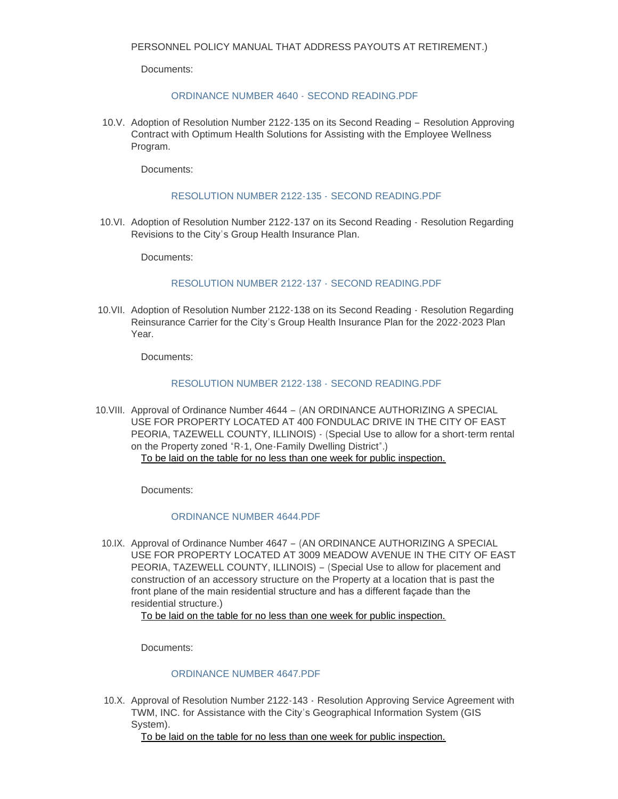### [ORDINANCE NUMBER 4640 -](https://www.cityofeastpeoria.com/AgendaCenter/ViewFile/Item/4310?fileID=29659) SECOND READING.PDF

10.V. Adoption of Resolution Number 2122-135 on its Second Reading - Resolution Approving Contract with Optimum Health Solutions for Assisting with the Employee Wellness Program.

Documents:

### [RESOLUTION NUMBER 2122-135 -](https://www.cityofeastpeoria.com/AgendaCenter/ViewFile/Item/4311?fileID=29660) SECOND READING.PDF

10.VI. Adoption of Resolution Number 2122-137 on its Second Reading - Resolution Regarding Revisions to the City's Group Health Insurance Plan.

Documents:

## [RESOLUTION NUMBER 2122-137 -](https://www.cityofeastpeoria.com/AgendaCenter/ViewFile/Item/4312?fileID=29661) SECOND READING.PDF

10.VII. Adoption of Resolution Number 2122-138 on its Second Reading - Resolution Regarding Reinsurance Carrier for the City's Group Health Insurance Plan for the 2022-2023 Plan Year.

Documents:

#### [RESOLUTION NUMBER 2122-138 -](https://www.cityofeastpeoria.com/AgendaCenter/ViewFile/Item/4313?fileID=29662) SECOND READING.PDF

10. VIII. Approval of Ordinance Number 4644 - (AN ORDINANCE AUTHORIZING A SPECIAL USE FOR PROPERTY LOCATED AT 400 FONDULAC DRIVE IN THE CITY OF EAST PEORIA, TAZEWELL COUNTY, ILLINOIS) - (Special Use to allow for a short-term rental on the Property zoned "R-1, One-Family Dwelling District".) To be laid on the table for no less than one week for public inspection.

Documents:

## [ORDINANCE NUMBER 4644.PDF](https://www.cityofeastpeoria.com/AgendaCenter/ViewFile/Item/4314?fileID=29663)

10.IX. Approval of Ordinance Number 4647 - (AN ORDINANCE AUTHORIZING A SPECIAL USE FOR PROPERTY LOCATED AT 3009 MEADOW AVENUE IN THE CITY OF EAST PEORIA, TAZEWELL COUNTY, ILLINOIS) – (Special Use to allow for placement and construction of an accessory structure on the Property at a location that is past the front plane of the main residential structure and has a different façade than the residential structure.)

## To be laid on the table for no less than one week for public inspection.

Documents:

## [ORDINANCE NUMBER 4647.PDF](https://www.cityofeastpeoria.com/AgendaCenter/ViewFile/Item/4315?fileID=29664)

10.X. Approval of Resolution Number 2122-143 - Resolution Approving Service Agreement with TWM, INC. for Assistance with the City's Geographical Information System (GIS System).

To be laid on the table for no less than one week for public inspection.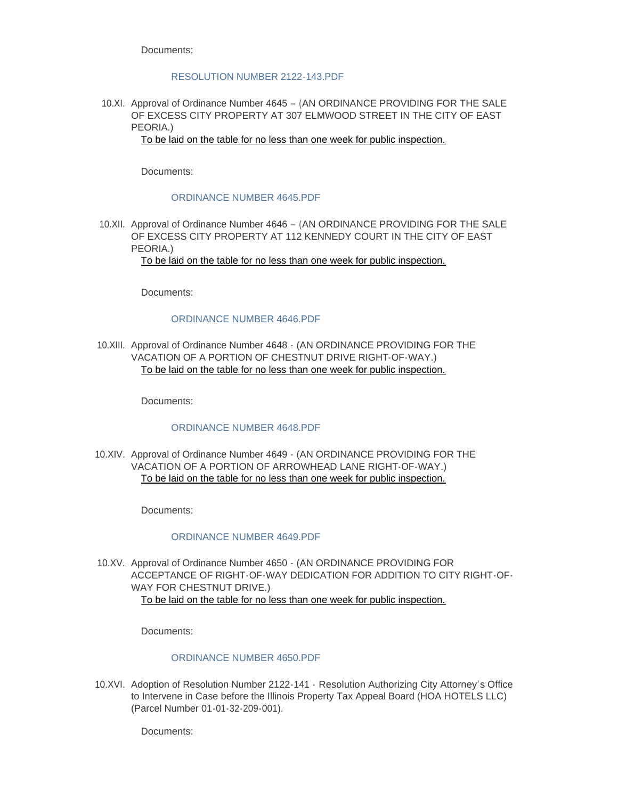### [RESOLUTION NUMBER 2122-143.PDF](https://www.cityofeastpeoria.com/AgendaCenter/ViewFile/Item/4327?fileID=29678)

10.XI. Approval of Ordinance Number 4645 - (AN ORDINANCE PROVIDING FOR THE SALE OF EXCESS CITY PROPERTY AT 307 ELMWOOD STREET IN THE CITY OF EAST PEORIA.)

To be laid on the table for no less than one week for public inspection.

Documents:

### [ORDINANCE NUMBER 4645.PDF](https://www.cityofeastpeoria.com/AgendaCenter/ViewFile/Item/4316?fileID=29665)

10.XII. Approval of Ordinance Number 4646 – (AN ORDINANCE PROVIDING FOR THE SALE OF EXCESS CITY PROPERTY AT 112 KENNEDY COURT IN THE CITY OF EAST PEORIA.)

To be laid on the table for no less than one week for public inspection.

Documents:

#### [ORDINANCE NUMBER 4646.PDF](https://www.cityofeastpeoria.com/AgendaCenter/ViewFile/Item/4317?fileID=29666)

10.XIII. Approval of Ordinance Number 4648 - (AN ORDINANCE PROVIDING FOR THE VACATION OF A PORTION OF CHESTNUT DRIVE RIGHT-OF-WAY.) To be laid on the table for no less than one week for public inspection.

Documents:

## [ORDINANCE NUMBER 4648.PDF](https://www.cityofeastpeoria.com/AgendaCenter/ViewFile/Item/4324?fileID=29674)

10.XIV. Approval of Ordinance Number 4649  $\cdot$  (AN ORDINANCE PROVIDING FOR THE VACATION OF A PORTION OF ARROWHEAD LANE RIGHT-OF-WAY.) To be laid on the table for no less than one week for public inspection.

Documents:

#### [ORDINANCE NUMBER 4649.PDF](https://www.cityofeastpeoria.com/AgendaCenter/ViewFile/Item/4325?fileID=29675)

10.XV. Approval of Ordinance Number 4650  $\cdot$  (AN ORDINANCE PROVIDING FOR ACCEPTANCE OF RIGHT-OF-WAY DEDICATION FOR ADDITION TO CITY RIGHT-OF-WAY FOR CHESTNUT DRIVE.) To be laid on the table for no less than one week for public inspection.

Documents:

#### [ORDINANCE NUMBER 4650.PDF](https://www.cityofeastpeoria.com/AgendaCenter/ViewFile/Item/4326?fileID=29677)

10.XVI. Adoption of Resolution Number 2122-141 - Resolution Authorizing City Attorney's Office to Intervene in Case before the Illinois Property Tax Appeal Board (HOA HOTELS LLC) (Parcel Number 01-01-32-209-001).

Documents: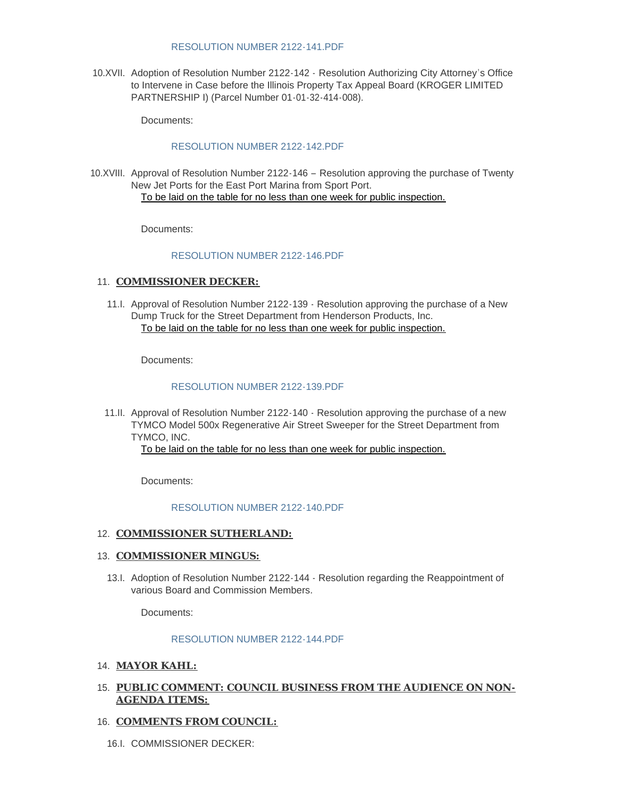#### [RESOLUTION NUMBER 2122-141.PDF](https://www.cityofeastpeoria.com/AgendaCenter/ViewFile/Item/4318?fileID=29667)

10.XVII. Adoption of Resolution Number 2122-142 - Resolution Authorizing City Attorney's Office to Intervene in Case before the Illinois Property Tax Appeal Board (KROGER LIMITED PARTNERSHIP I) (Parcel Number 01-01-32-414-008).

Documents:

## [RESOLUTION NUMBER 2122-142.PDF](https://www.cityofeastpeoria.com/AgendaCenter/ViewFile/Item/4319?fileID=29668)

10.XVIII. Approval of Resolution Number 2122-146 - Resolution approving the purchase of Twenty New Jet Ports for the East Port Marina from Sport Port. To be laid on the table for no less than one week for public inspection.

Documents:

## [RESOLUTION NUMBER 2122-146.PDF](https://www.cityofeastpeoria.com/AgendaCenter/ViewFile/Item/4320?fileID=29669)

## 11. **COMMISSIONER DECKER:**

11.I. Approval of Resolution Number 2122-139 - Resolution approving the purchase of a New Dump Truck for the Street Department from Henderson Products, Inc. To be laid on the table for no less than one week for public inspection.

Documents:

#### [RESOLUTION NUMBER 2122-139.PDF](https://www.cityofeastpeoria.com/AgendaCenter/ViewFile/Item/4321?fileID=29670)

11.II. Approval of Resolution Number 2122-140 - Resolution approving the purchase of a new TYMCO Model 500x Regenerative Air Street Sweeper for the Street Department from TYMCO, INC.

To be laid on the table for no less than one week for public inspection.

Documents:

## [RESOLUTION NUMBER 2122-140.PDF](https://www.cityofeastpeoria.com/AgendaCenter/ViewFile/Item/4322?fileID=29671)

### 12. **COMMISSIONER SUTHERLAND:**

## 13. **COMMISSIONER MINGUS:**

13.I. Adoption of Resolution Number 2122-144 - Resolution regarding the Reappointment of various Board and Commission Members.

Documents:

#### [RESOLUTION NUMBER 2122-144.PDF](https://www.cityofeastpeoria.com/AgendaCenter/ViewFile/Item/4323?fileID=29672)

#### **MAYOR KAHL:** 14.

## **PUBLIC COMMENT: COUNCIL BUSINESS FROM THE AUDIENCE ON NON-**15. **AGENDA ITEMS:**

## 16. **COMMENTS FROM COUNCIL:**

16.I. COMMISSIONER DECKER: